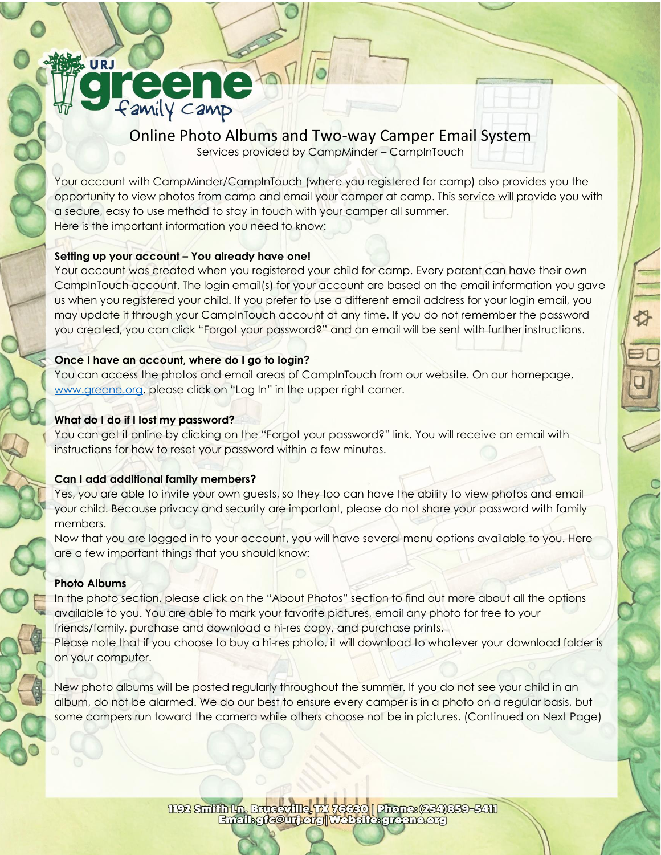# Online Photo Albums and Two-way Camper Email System

Services provided by CampMinder – CampInTouch

Your account with CampMinder/CampInTouch (where you registered for camp) also provides you the opportunity to view photos from camp and email your camper at camp. This service will provide you with a secure, easy to use method to stay in touch with your camper all summer. Here is the important information you need to know:

#### **Setting up your account – You already have one!**

**reene** 

Your account was created when you registered your child for camp. Every parent can have their own CampInTouch account. The login email(s) for your account are based on the email information you gave us when you registered your child. If you prefer to use a different email address for your login email, you may update it through your CampInTouch account at any time. If you do not remember the password you created, you can click "Forgot your password?" and an email will be sent with further instructions.

### **Once I have an account, where do I go to login?**

You can access the photos and email areas of CampInTouch from our website. On our homepage, [www.greene.org](../../Summer%202021/CampInTouch/www.greene.org), please click on "Log In" in the upper right corner.

#### **What do I do if I lost my password?**

You can get it online by clicking on the "Forgot your password?" link. You will receive an email with instructions for how to reset your password within a few minutes.

#### **Can I add additional family members?**

Yes, you are able to invite your own guests, so they too can have the ability to view photos and email your child. Because privacy and security are important, please do not share your password with family members.

Now that you are logged in to your account, you will have several menu options available to you. Here are a few important things that you should know:

## **Photo Albums**

URJ

In the photo section, please click on the "About Photos" section to find out more about all the options available to you. You are able to mark your favorite pictures, email any photo for free to your friends/family, purchase and download a hi-res copy, and purchase prints. Please note that if you choose to buy a hi-res photo, it will download to whatever your download folder is on your computer.

New photo albums will be posted regularly throughout the summer. If you do not see your child in an album, do not be alarmed. We do our best to ensure every camper is in a photo on a regular basis, but some campers run toward the camera while others choose not be in pictures. (Continued on Next Page)